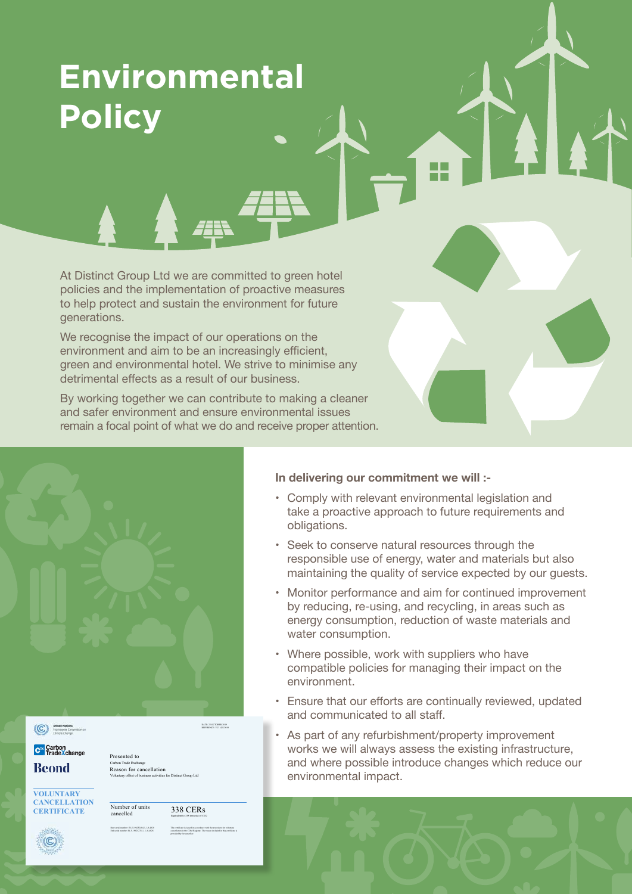# **Environmental Policy**

At Distinct Group Ltd we are committed to green hotel policies and the implementation of proactive measures to help protect and sustain the environment for future generations.

We recognise the impact of our operations on the environment and aim to be an increasingly efficient, green and environmental hotel. We strive to minimise any detrimental effects as a result of our business.

By working together we can contribute to making a cleaner and safer environment and ensure environmental issues remain a focal point of what we do and receive proper attention.

|                                                                              |                                                                                                                    | DATE: 22 OCTOBER 2019<br>REFERENCE: VCI 1422/2019                                                                                                                                |
|------------------------------------------------------------------------------|--------------------------------------------------------------------------------------------------------------------|----------------------------------------------------------------------------------------------------------------------------------------------------------------------------------|
| United Nations<br>Expressor Convention on<br>Climate Change<br>$\circled{c}$ |                                                                                                                    |                                                                                                                                                                                  |
| C <sup>TX</sup> Carbon<br>TradeXchange                                       | Presented to                                                                                                       |                                                                                                                                                                                  |
| <b>Beond</b>                                                                 | Carbon Trade Exchange<br>Reason for cancellation<br>Voluntary offset of business activities for Distinct Group Ltd |                                                                                                                                                                                  |
| <b>VOLUNTARY</b>                                                             |                                                                                                                    |                                                                                                                                                                                  |
| <b>CANCELLATION</b><br><b>CERTIFICATE</b>                                    | Number of units<br>cancelled                                                                                       | $338$ CERs<br>Equivalent to 338 terms(s) of CO <sub>2</sub>                                                                                                                      |
|                                                                              | Start serial number: IN-5-196252404-1-1-0-4828<br>${\rm End~scalar~under~IN-5-196252741\text{-}1-1-0-4828}$        | The certificate is issued in accordance with the procedure for voluntary cancellation in the CDM Registry. The nusses included in this certificate is previded by the canceller. |
|                                                                              |                                                                                                                    |                                                                                                                                                                                  |

# **In delivering our commitment we will :-**

- Comply with relevant environmental legislation and take a proactive approach to future requirements and obligations.
- Seek to conserve natural resources through the responsible use of energy, water and materials but also maintaining the quality of service expected by our guests.
- Monitor performance and aim for continued improvement by reducing, re-using, and recycling, in areas such as energy consumption, reduction of waste materials and water consumption.
- Where possible, work with suppliers who have compatible policies for managing their impact on the environment.
- Ensure that our efforts are continually reviewed, updated and communicated to all staff.
- As part of any refurbishment/property improvement works we will always assess the existing infrastructure, and where possible introduce changes which reduce our environmental impact.